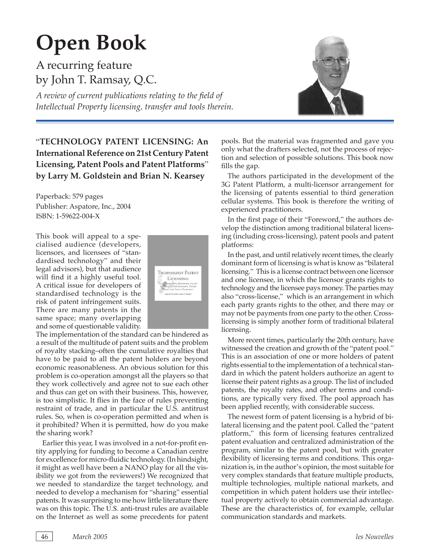## **Open Book**

A recurring feature by John T. Ramsay, Q.C.

A review of current publications relating to the field of *Intellectual Property licensing, transfer and tools therein.*



## "**TECHNOLOGY PATENT LICENSING: An International Reference on 21st Century Patent Licensing, Patent Pools and Patent Platforms**" **by Larry M. Goldstein and Brian N. Kearsey**

Paperback: 579 pages Publisher: Aspatore, Inc., 2004 ISBN: 1-59622-004-X

This book will appeal to a specialised audience (developers, licensors, and licensees of "standardised technology" and their legal advisors), but that audience will find it a highly useful tool. A critical issue for developers of standardised technology is the risk of patent infringement suits. There are many patents in the same space; many overlapping and some of questionable validity.



The implementation of the standard can be hindered as a result of the multitude of patent suits and the problem of royalty stacking–often the cumulative royalties that have to be paid to all the patent holders are beyond economic reasonableness. An obvious solution for this problem is co-operation amongst all the players so that they work collectively and agree not to sue each other and thus can get on with their business. This, however, is too simplistic. It flies in the face of rules preventing restraint of trade, and in particular the U.S. antitrust rules. So, when is co-operation permitted and when is it prohibited? When it is permitted, how do you make the sharing work?

Earlier this year, I was involved in a not-for-profit entity applying for funding to become a Canadian centre for excellence for micro-fluidic technology. (In hindsight, it might as well have been a NANO play for all the visibility we got from the reviewers!) We recognized that we needed to standardize the target technology, and needed to develop a mechanism for "sharing" essential patents. It was surprising to me how little literature there was on this topic. The U.S. anti-trust rules are available on the Internet as well as some precedents for patent

pools. But the material was fragmented and gave you only what the drafters selected, not the process of rejection and selection of possible solutions. This book now fills the gap.

The authors participated in the development of the 3G Patent Platform, a multi-licensor arrangement for the licensing of patents essential to third generation cellular systems. This book is therefore the writing of experienced practitioners.

In the first page of their "Foreword," the authors develop the distinction among traditional bilateral licensing (including cross-licensing), patent pools and patent platforms:

In the past, and until relatively recent times, the clearly dominant form of licensing is what is know as "bilateral licensing." This is a license contract between one licensor and one licensee, in which the licensor grants rights to technology and the licensee pays money. The parties may also "cross-license," which is an arrangement in which each party grants rights to the other, and there may or may not be payments from one party to the other. Crosslicensing is simply another form of traditional bilateral licensing.

More recent times, particularly the 20th century, have witnessed the creation and growth of the "patent pool." This is an association of one or more holders of patent rights essential to the implementation of a technical standard in which the patent holders authorize an agent to license their patent rights as a group. The list of included patents, the royalty rates, and other terms and conditions, are typically very fixed. The pool approach has been applied recently, with considerable success.

The newest form of patent licensing is a hybrid of bilateral licensing and the patent pool. Called the "patent platform," this form of licensing features centralized patent evaluation and centralized administration of the program, similar to the patent pool, but with greater flexibility of licensing terms and conditions. This organization is, in the author's opinion, the most suitable for very complex standards that feature multiple products, multiple technologies, multiple national markets, and competition in which patent holders use their intellectual property actively to obtain commercial advantage. These are the characteristics of, for example, cellular communication standards and markets.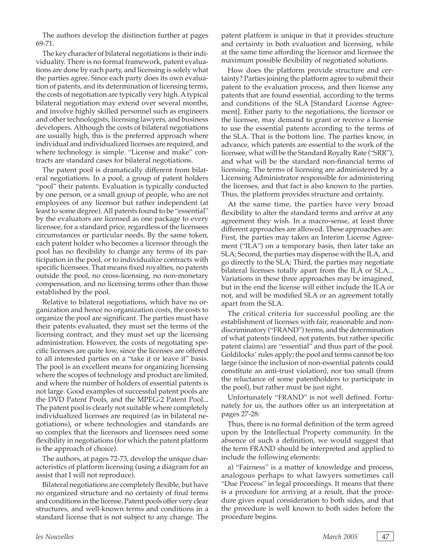The authors develop the distinction further at pages 69-71.

The key character of bilateral negotiations is their individuality. There is no formal framework, patent evaluations are done by each party, and licensing is solely what the parties agree. Since each party does its own evaluation of patents, and its determination of licensing terms, the costs of negotiation are typically very high. A typical bilateral negotiation may extend over several months, and involve highly skilled personnel such as engineers and other technologists, licensing lawyers, and business developers. Although the costs of bilateral negotiations are usually high, this is the preferred approach where individual and individualized licenses are required, and where technology is simple. "License and make" contracts are standard cases for bilateral negotiations.

The patent pool is dramatically different from bilateral negotiations. In a pool, a group of patent holders "pool" their patents. Evaluation is typically conducted by one person, or a small group of people, who are not employees of any licensor but rather independent (at least to some degree). All patents found to be "essential" by the evaluators are licensed as one package to every licensee, for a standard price, regardless of the licensees circumstances or particular needs. By the same token, each patent holder who becomes a licensor through the pool has no flexibility to change any terms of its participation in the pool, or to individualize contracts with specific licensees. That means fixed royalties, no patents outside the pool, no cross-licensing, no non-monetary compensation, and no licensing terms other than those established by the pool.

Relative to bilateral negotiations, which have no organization and hence no organization costs, the costs to organize the pool are significant. The parties must have their patents evaluated, they must set the terms of the licensing contract, and they must set up the licensing administration. However, the costs of negotiating specific licenses are quite low, since the licenses are offered to all interested parties on a "take it or leave it" basis. The pool is an excellent means for organizing licensing where the scopes of technology and product are limited, and where the number of holders of essential patents is not large. Good examples of successful patent pools are the DVD Patent Pools, and the MPEG-2 Patent Pool... The patent pool is clearly not suitable where completely individualized licenses are required (as in bilateral negotiations), or where technologies and standards are so complex that the licensors and licensees need some flexibility in negotiations (for which the patent platform is the approach of choice).

The authors, at pages 72-73, develop the unique characteristics of platform licensing (using a diagram for an assist that I will not reproduce).

Bilateral negotiations are completely flexible, but have no organized structure and no certainty of final terms and conditions in the license. Patent pools offer very clear structures, and well-known terms and conditions in a standard license that is not subject to any change. The

patent platform is unique in that it provides structure and certainty in both evaluation and licensing, while at the same time affording the licensor and licensee the maximum possible flexibility of negotiated solutions.

How does the platform provide structure and certainty? Parties joining the platform agree to submit their patent to the evaluation process, and then license any patents that are found essential, according to the terms and conditions of the SLA [Standard License Agreement]. Either party to the negotiations, the licensor or the licensee, may demand to grant or receive a license to use the essential patents according to the terms of the SLA. That is the bottom line. The parties know, in advance, which patents are essential to the work of the licensee, what will be the Standard Royalty Rate ("SRR"), and what will be the standard non-financial terms of licensing. The terms of licensing are administered by a Licensing Administrator responsible for administering the licenses, and that fact is also known to the parties. Thus, the platform provides structure and certainty.

At the same time, the parties have very broad flexibility to alter the standard terms and arrive at any agreement they wish. In a macro-sense, at least three different approaches are allowed. These approaches are: First, the parties may taken an Interim License Agreement ("ILA") on a temporary basis, then later take an SLA; Second, the parties may dispense with the ILA, and go directly to the SLA; Third, the parties may negotiate bilateral licenses totally apart from the ILA or SLA... Variations in these three approaches may be imagined, but in the end the license will either include the ILA or not, and will be modified SLA or an agreement totally apart from the SLA.

The critical criteria for successful pooling are the establishment of licenses with fair, reasonable and nondiscriminatory ("FRAND") terms, and the determination of what patents (indeed, not patents, but rather specific patent claims) are "essential" and thus part of the pool. Goldilocks' rules apply; the pool and terms cannot be too large (since the inclusion of non-essential patents could constitute an anti-trust violation), nor too small (from the reluctance of some patentholders to participate in the pool), but rather must be just right.

Unfortunately "FRAND" is not well defined. Fortunately for us, the authors offer us an interpretation at pages 27-28:

Thus, there is no formal definition of the term agreed upon by the Intellectual Property community. In the absence of such a definition, we would suggest that the term FRAND should be interpreted and applied to include the following elements:

a) "Fairness" is a matter of knowledge and process, analogous perhaps to what lawyers sometimes call "Due Process" in legal proceedings. It means that there is a procedure for arriving at a result, that the procedure gives equal consideration to both sides, and that the procedure is well known to both sides before the procedure begins.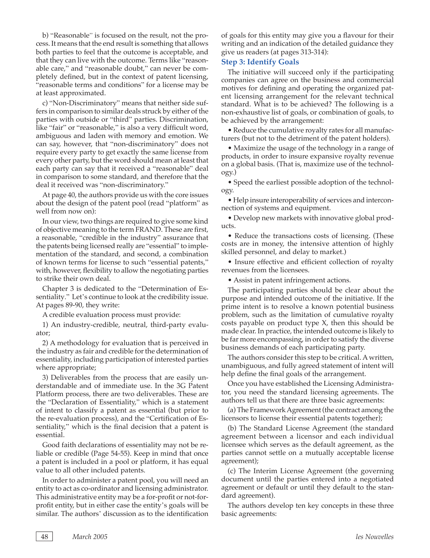b) "Reasonable" is focused on the result, not the process. It means that the end result is something that allows both parties to feel that the outcome is acceptable, and that they can live with the outcome. Terms like "reasonable care," and "reasonable doubt," can never be completely defined, but in the context of patent licensing, "reasonable terms and conditions" for a license may be at least approximated.

c) "Non-Discriminatory" means that neither side suffers in comparison to similar deals struck by either of the parties with outside or "third" parties. Discrimination, like "fair" or "reasonable," is also a very difficult word, ambiguous and laden with memory and emotion. We can say, however, that "non-discriminatory" does not require every party to get exactly the same license from every other party, but the word should mean at least that each party can say that it received a "reasonable" deal in comparison to some standard, and therefore that the deal it received was "non-discriminatory."

At page 40, the authors provide us with the core issues about the design of the patent pool (read "platform" as well from now on):

In our view, two things are required to give some kind of objective meaning to the term FRAND. These are first, a reasonable, "credible in the industry" assurance that the patents being licensed really are "essential" to implementation of the standard, and second, a combination of known terms for license to such "essential patents," with, however, flexibility to allow the negotiating parties to strike their own deal.

Chapter 3 is dedicated to the "Determination of Essentiality." Let's continue to look at the credibility issue. At pages 89-90, they write:

A credible evaluation process must provide:

1) An industry-credible, neutral, third-party evaluator;

2) A methodology for evaluation that is perceived in the industry as fair and credible for the determination of essentiality, including participation of interested parties where appropriate;

3) Deliverables from the process that are easily understandable and of immediate use. In the 3G Patent Platform process, there are two deliverables. These are the "Declaration of Essentiality," which is a statement of intent to classify a patent as essential (but prior to the re-evaluation process), and the "Certification of Essentiality," which is the final decision that a patent is essential.

Good faith declarations of essentiality may not be reliable or credible (Page 54-55). Keep in mind that once a patent is included in a pool or platform, it has equal value to all other included patents.

In order to administer a patent pool, you will need an entity to act as co-ordinator and licensing administrator. This administrative entity may be a for-profit or not-forprofit entity, but in either case the entity's goals will be similar. The authors' discussion as to the identification of goals for this entity may give you a flavour for their writing and an indication of the detailed guidance they give us readers (at pages 313-314):

## **Step 3: Identify Goals**

The initiative will succeed only if the participating companies can agree on the business and commercial motives for defining and operating the organized patent licensing arrangement for the relevant technical standard. What is to be achieved? The following is a non-exhaustive list of goals, or combination of goals, to be achieved by the arrangement:

• Reduce the cumulative royalty rates for all manufacturers (but not to the detriment of the patent holders).

• Maximize the usage of the technology in a range of products, in order to insure expansive royalty revenue on a global basis. (That is, maximize use of the technology.)

• Speed the earliest possible adoption of the technology.

• Help insure interoperability of services and interconnection of systems and equipment.

• Develop new markets with innovative global products.

• Reduce the transactions costs of licensing. (These costs are in money, the intensive attention of highly skilled personnel, and delay to market.)

• Insure effective and efficient collection of royalty revenues from the licensees.

• Assist in patent infringement actions.

The participating parties should be clear about the purpose and intended outcome of the initiative. If the prime intent is to resolve a known potential business problem, such as the limitation of cumulative royalty costs payable on product type X, then this should be made clear. In practice, the intended outcome is likely to be far more encompassing, in order to satisfy the diverse business demands of each participating party.

The authors consider this step to be critical. A written, unambiguous, and fully agreed statement of intent will help define the final goals of the arrangement.

Once you have established the Licensing Administrator, you need the standard licensing agreements. The authors tell us that there are three basic agreements:

(a) The Framework Agreement (the contract among the licensors to license their essential patents together);

(b) The Standard License Agreement (the standard agreement between a licensor and each individual licensee which serves as the default agreement, as the parties cannot settle on a mutually acceptable license agreement);

(c) The Interim License Agreement (the governing document until the parties entered into a negotiated agreement or default or until they default to the standard agreement).

The authors develop ten key concepts in these three basic agreements: